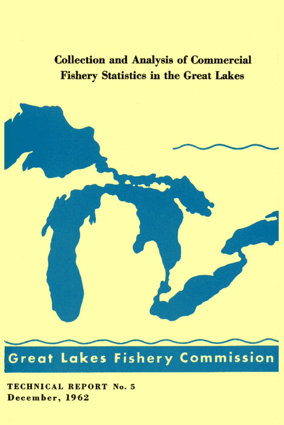**Collection and Analysis of Commercial Fishery Statistics in the Great Lakes** 

# **Great Lakes Fishery Commission**

**TECHNICAL REPORT No. 5** December, 1962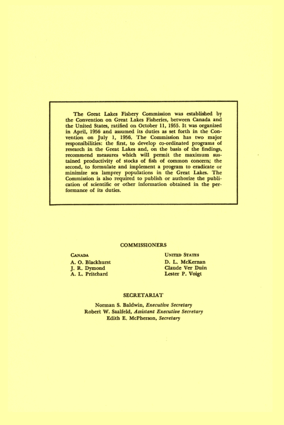The Great Lakes Fishery Commission was established by the Convention on Great Lakes Fisheries, between Canada and the United States, ratified on October 11, 1955. It was organized in April, 1956 and assumed its duties as set forth in the Convention on July 1, 1956. The Commission has two major responsibilities: the first, to develop co-ordinated programs of research in the Great Lakes and, on the basis of the findings, recommend measures which will permit the maximum sustained productivity of stocks of fish of common concern; the second, to formulate and implement a program to eradicate or minimize sea lamprey populations in the Great Lakes. The Commission is also required to publish or authorize the publication of scientific or other information obtained in the performance of its duties.

#### **COMMISSIONERS**

**CANADA** A. O. Blackhurst J. R. Dymond A. L. Pritchard

**UNITED STATES** D. L. McKernan Claude Ver Duin Lester P. Voigt

#### **SECRETARIAT**

Norman S. Baldwin, Executive Secretary Robert W. Saalfeld, Assistant Executive Secretary Edith E. McPherson, Secretary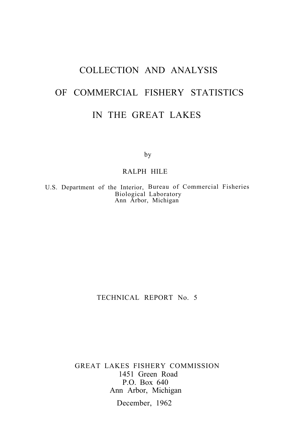## COLLECTION AND ANALYSIS OF COMMERCIAL FISHERY STATISTICS IN THE GREAT LAKES

by

#### RALPH HILE

U.S. Department of the Interior, Bureau of Commercial Fisheries Biological Laboratory Ann Arbor, Michigan

TECHNICAL REPORT No. 5

GREAT LAKES FISHERY COMMISSION 1451 Green Road P.O. Box 640 Ann Arbor, Michigan

December, 1962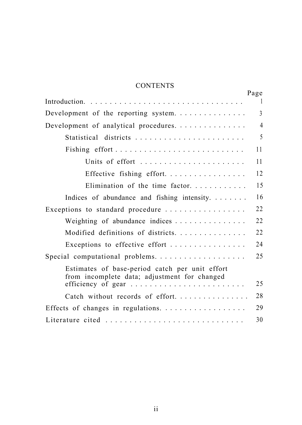### **CONTENTS**

|                                                                                                                       | Page         |
|-----------------------------------------------------------------------------------------------------------------------|--------------|
|                                                                                                                       | $\mathbf{1}$ |
| Development of the reporting system.                                                                                  | 3            |
| Development of analytical procedures.                                                                                 | 4            |
| Statistical districts                                                                                                 | 5            |
|                                                                                                                       | 11           |
| Units of effort                                                                                                       | 11           |
| Effective fishing effort.                                                                                             | 12           |
| Elimination of the time factor.                                                                                       | 15           |
| Indices of abundance and fishing intensity.                                                                           | 16           |
| Exceptions to standard procedure                                                                                      | 22           |
| Weighting of abundance indices                                                                                        | 22           |
| Modified definitions of districts.                                                                                    | 22           |
| Exceptions to effective effort                                                                                        | 24           |
| Special computational problems.                                                                                       | 25           |
| Estimates of base-period catch per unit effort                                                                        |              |
| from incomplete data; adjustment for changed<br>efficiency of gear $\ldots \ldots \ldots \ldots \ldots \ldots \ldots$ | 25           |
| Catch without records of effort.                                                                                      | 28           |
|                                                                                                                       | 29           |
| Literature cited                                                                                                      | 30           |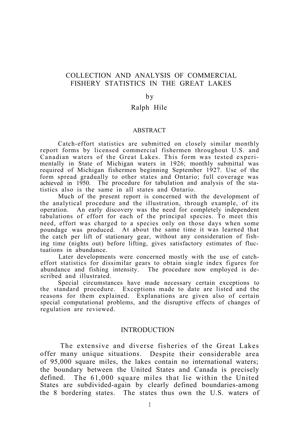#### COLLECTION AND ANALYSIS OF COMMERCIAL FISHERY STATISTICS IN THE GREAT LAKES

#### by

#### Ralph Hile

#### ABSTRACT

Catch-effort statistics are submitted on closely similar monthly report forms by licensed commercial fishermen throughout U.S. and Canadian waters of the Great Lakes. This form was tested experimentally in State of Michigan waters in 1926; monthly submittal was required of Michigan fishermen beginning September 1927. Use of the form spread gradually to other states and Ontario; full coverage was achieved in 1950. The procedure for tabulation and analysis of the statistics also is the same in all states and Ontario.

Much of the present report is concerned with the development of the analytical procedure and the illustration, through example, of its operation. An early discovery was the need for completely independent tabulations of effort for each of the principal species. To meet this need, effort was charged to a species only on those days when some poundage was produced. At about the same time it was learned that the catch per lift of stationary gear, without any consideration of fishing time (nights out) before lifting, gives satisfactory estimates of fluctuations in abundance.

Later developments were concerned mostly with the use of catcheffort statistics for dissimilar gears to obtain single index figures for abundance and fishing intensity. The procedure now employed is described and illustrated.

Special circumstances have made necessary certain exceptions to the standard procedure. Exceptions made to date are listed and the reasons for them explained. Explanations are given also of certain special computational problems, and the disruptive effects of changes of regulation are reviewed.

#### INTRODUCTION

The extensive and diverse fisheries of the Great Lakes offer many unique situations. Despite their considerable area of 95,000 square miles, the lakes contain no international waters; the boundary between the United States and Canada is precisely defined. The 61,000 square miles that lie within the United States are subdivided-again by clearly defined boundaries-among the 8 bordering states. The states thus own the U.S. waters of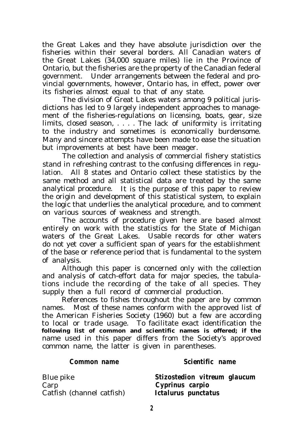the Great Lakes and they have absolute jurisdiction over the fisheries within their several borders. All Canadian waters of the Great Lakes (34,000 square miles) lie in the Province of Ontario, but the fisheries are the property of the Canadian federal government. Under arrangements between the federal and provincial governments, however, Ontario has, in effect, power over its fisheries almost equal to that of any state.

The division of Great Lakes waters among 9 political jurisdictions has led to 9 largely independent approaches to management of the fisheries-regulations on licensing, boats, gear, size limits, closed season, . . . . The lack of uniformity is irritating to the industry and sometimes is economically burdensome. Many and sincere attempts have been made to ease the situation but improvements at best have been meager.

The collection and analysis of commercial fishery statistics stand in refreshing contrast to the confusing differences in regulation. All 8 states and Ontario collect these statistics by the same method and all statistical data are treated by the same analytical procedure. It is the purpose of this paper to review the origin and development of this statistical system, to explain the logic that underlies the analytical procedure, and to comment on various sources of weakness and strength.

The accounts of procedure given here are based almost entirely on work with the statistics for the State of Michigan waters of the Great Lakes. Usable records for other waters do not yet cover a sufficient span of years for the establishment of the base or reference period that is fundamental to the system of analysis.

Although this paper is concerned only with the collection and analysis of catch-effort data for major species, the tabulations include the recording of the take of all species. They supply then a full record of commercial production.

References to fishes throughout the paper are by common names. Most of these names conform with the approved list of the American Fisheries Society (1960) but a few are according to local or trade usage. To facilitate exact identification the **following list of common and scientific names is offered; if the** name used in this paper differs from the Society's approved common name, the latter is given in parentheses.

Carp *Cyprinus carpio* Catfish (channel catfish) *Ictalurus punctatus*

#### *Common name Scientific name*

Blue pike *Stizostedion vitreum glaucum*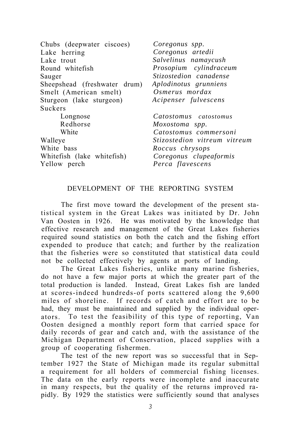| Chubs (deepwater ciscoes)    | Coregonus spp.                      |
|------------------------------|-------------------------------------|
| Lake herring                 | Coregonus artedii                   |
| Lake trout                   | Salvelinus namaycush                |
| Round whitefish              | Prosopium cylindraceum              |
| Sauger                       | Stizostedion canadense              |
| Sheepshead (freshwater drum) | Aplodinotus grunniens               |
| Smelt (American smelt)       | Osmerus mordax                      |
| Sturgeon (lake sturgeon)     | Acipenser fulvescens                |
| Suckers                      |                                     |
| Longnose                     | Catostomus catostomus               |
| Redhorse                     | Moxostoma spp.                      |
| White                        | Catostomus commersoni               |
| Walleye                      | <i>Stizostedion vitreum vitreum</i> |
| White bass                   | Roccus chrysops                     |
| Whitefish (lake whitefish)   | Coregonus clupeaformis              |
| Yellow perch                 | Perca flavescens                    |
|                              |                                     |

#### DEVELOPMENT OF THE REPORTING SYSTEM

The first move toward the development of the present statistical system in the Great Lakes was initiated by Dr. John Van Oosten in 1926. He was motivated by the knowledge that effective research and management of the Great Lakes fisheries required sound statistics on both the catch and the fishing effort expended to produce that catch; and further by the realization that the fisheries were so constituted that statistical data could not be collected effectively by agents at ports of landing.

The Great Lakes fisheries, unlike many marine fisheries, do not have a few major ports at which the greater part of the total production is landed. Instead, Great Lakes fish are landed at scores-indeed hundreds-of ports scattered along the 9,600 miles of shoreline. If records of catch and effort are to be had, they must be maintained and supplied by the individual operators. To test the feasibility of this type of reporting, Van Oosten designed a monthly report form that carried space for daily records of gear and catch and, with the assistance of the Michigan Department of Conservation, placed supplies with a group of cooperating fishermen.

The test of the new report was so successful that in September 1927 the State of Michigan made its regular submittal a requirement for all holders of commercial fishing licenses. The data on the early reports were incomplete and inaccurate in many respects, but the quality of the returns improved rapidly. By 1929 the statistics were sufficiently sound that analyses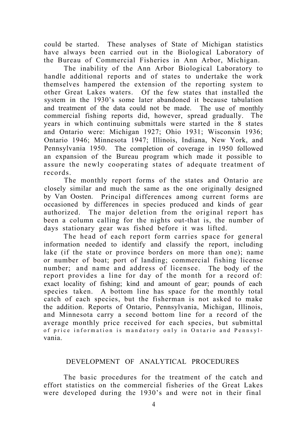could be started. These analyses of State of Michigan statistics have always been carried out in the Biological Laboratory of the Bureau of Commercial Fisheries in Ann Arbor, Michigan.

The inability of the Ann Arbor Biological Laboratory to handle additional reports and of states to undertake the work themselves hampered the extension of the reporting system to other Great Lakes waters. Of the few states that installed the system in the 1930's some later abandoned it because tabulation and treatment of the data could not be made. The use of monthly commercial fishing reports did, however, spread gradually. The years in which continuing submittals were started in the 8 states and Ontario were: Michigan 1927; Ohio 1931; Wisconsin 1936; Ontario 1946; Minnesota 1947; Illinois, Indiana, New York, and Pennsylvania 1950. The completion of coverage in 1950 followed an expansion of the Bureau program which made it possible to assure the newly cooperating states of adequate treatment of records.

The monthly report forms of the states and Ontario are closely similar and much the same as the one originally designed by Van Oosten. Principal differences among current forms are occasioned by differences in species produced and kinds of gear authorized. The major deletion from the original report has been a column calling for the nights out-that is, the number of days stationary gear was fished before it was lifted.

The head of each report form carries space for general information needed to identify and classify the report, including lake (if the state or province borders on more than one); name or number of boat; port of landing; commercial fishing license number; and name and address of licensee. The body of the report provides a line for day of the month for a record of: exact locality of fishing; kind and amount of gear; pounds of each species taken. A bottom line has space for the monthly total catch of each species, but the fisherman is not asked to make the addition. Reports of Ontario, Pennsylvania, Michigan, Illinois, and Minnesota carry a second bottom line for a record of the average monthly price received for each species, but submittal of price information is mandatory only in Ontario and Pennsylvania.

#### DEVELOPMENT OF ANALYTICAL PROCEDURES

The basic procedures for the treatment of the catch and effort statistics on the commercial fisheries of the Great Lakes were developed during the 1930's and were not in their final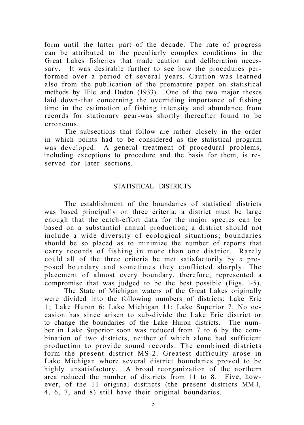form until the latter part of the decade. The rate of progress can be attributed to the peculiarly complex conditions in the Great Lakes fisheries that made caution and deliberation necessary. It was desirable further to see how the procedures performed over a period of several years. Caution was learned also from the publication of the premature paper on statistical methods by Hile and Duden (1933). One of the two major theses laid down-that concerning the overriding importance of fishing time in the estimation of fishing intensity and abundance from records for stationary gear-was shortly thereafter found to be erroneous.

The subsections that follow are rather closely in the order in which points had to be considered as the statistical program was developed. A general treatment of procedural problems, including exceptions to procedure and the basis for them, is reserved for later sections.

#### STATISTICAL DISTRICTS

The establishment of the boundaries of statistical districts was based principally on three criteria: a district must be large enough that the catch-effort data for the major species can be based on a substantial annual production; a district should not include a wide diversity of ecological situations; boundaries should be so placed as to minimize the number of reports that carry records of fishing in more than one district. Rarely could all of the three criteria be met satisfactorily by *a* proposed boundary and sometimes they conflicted sharply. The placement of almost every boundary, therefore, represented a compromise that was judged to be the best possible (Figs. l-5).

The State of Michigan waters of the Great Lakes originally were divided into the following numbers of districts: Lake Erie 1; Lake Huron 6; Lake Michigan 11; Lake Superior 7. No occasion has since arisen to sub-divide the Lake Erie district or to change the boundaries of the Lake Huron districts. The number in Lake Superior soon was reduced from 7 to 6 by the combination of two districts, neither of which alone had sufficient production to provide sound records. The combined districts form the present district MS-2. Greatest difficulty arose in Lake Michigan where several district boundaries proved to be highly unsatisfactory. A broad reorganization of the northern area reduced the number of districts from 11 to 8. Five, however, of the 11 original districts (the present districts MM-l, 4, 6, 7, and 8) still have their original boundaries.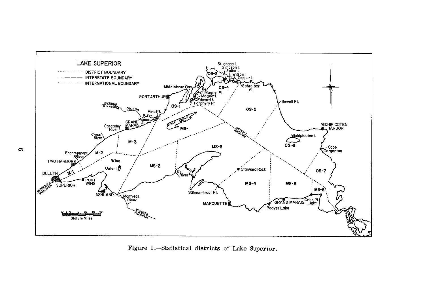

Figure 1.-Statistical districts of Lake Superior.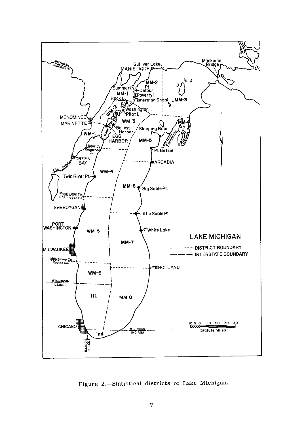

Figure 2.-Statistical districts of Lake Michigan.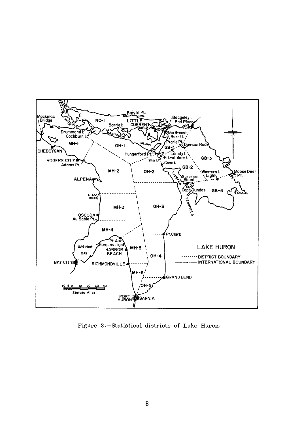

Figure 3.-Statistical districts of Lake Huron.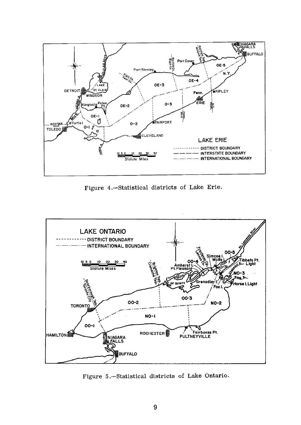

Figure 4.-Statistical districts of Lake Erie.



Figure 5.-Statistical districts of Lake Ontario.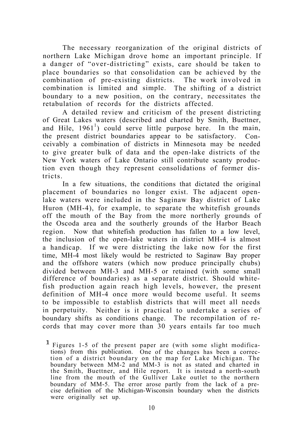The necessary reorganization of the original districts of northern Lake Michigan drove home an important principle. If a danger of "over-districting" exists, care should be taken to place boundaries so that consolidation can be achieved by the combination of pre-existing districts. The work involved in combination is limited and simple. The shifting of a district boundary to a new position, on the contrary, necessitates the retabulation of records for the districts affected.

A detailed review and criticism of the present districting of Great Lakes waters (described and charted by Smith, Buettner, and Hile,  $1961<sup>1</sup>$ ) could serve little purpose here. In the main, the present district boundaries appear to be satisfactory. Conceivably a combination of districts in Minnesota may be needed to give greater bulk of data and the open-lake districts of the New York waters of Lake Ontario still contribute scanty production even though they represent consolidations of former districts.

In a few situations, the conditions that dictated the original placement of boundaries no longer exist. The adjacent openlake waters were included in the Saginaw Bay district of Lake Huron (MH-4), for example, to separate the whitefish grounds off the mouth of the Bay from the more northerly grounds of the Oscoda area and the southerly grounds of the Harbor Beach region. Now that whitefish production has fallen to a low level, the inclusion of the open-lake waters in district MH-4 is almost a handicap. If we were districting the lake now for the first time, MH-4 most likely would be restricted to Saginaw Bay proper and the offshore waters (which now produce principally chubs) divided between MH-3 and MH-5 or retained (with some small difference of boundaries) as a separate district. Should whitefish production again reach high levels, however, the present definition of MH-4 once more would become useful. It seems to be impossible to establish districts that will meet all needs in perpetuity. Neither is it practical to undertake a series of boundary shifts as conditions change. The recompilation of records that may cover more than 30 years entails far too much

I Figures 1-5 of the present paper are (with some slight modifications) from this publication. One of the changes has been a correction of a district boundary on the map for Lake Michigan. The boundary between MM-2 and MM-3 is not as stated and charted in the Smith, Buettner, and Hile report. It is instead a north-south line from the mouth of the Gulliver Lake outlet to the northern boundary of MM-5. The error arose partly from the lack of a precise definition of the Michigan-Wisconsin boundary when the districts were originally set up.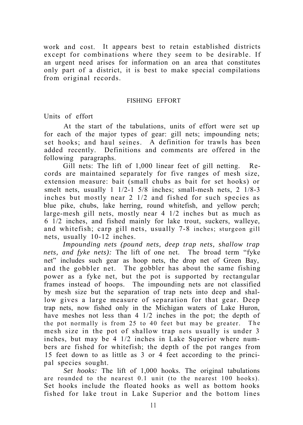work and cost. It appears best to retain established districts except for combinations where they seem to be desirable. If an urgent need arises for information on an area that constitutes only part of a district, it is best to make special compilations from original records.

#### FISHING EFFORT

Units of effort

At the start of the tabulations, units of effort were set up for each of the major types of gear: gill nets; impounding nets; set hooks; and haul seines. A definition for trawls has been added recently. Definitions and comments are offered in the following paragraphs.

Gill nets: The lift of 1,000 linear feet of gill netting. Records are maintained separately for five ranges of mesh size, extension measure: bait (small chubs as bait for set hooks) or smelt nets, usually 1 1/2-1 5/8 inches; small-mesh nets, 2 1/8-3 inches but mostly near 2 1/2 and fished for such species as blue pike, chubs, lake herring, round whitefish, and yellow perch; large-mesh gill nets, mostly near 4 1/2 inches but as much as 6 1/2 inches, and fished mainly for lake trout, suckers, walleye, and whitefish; carp gill nets, usually 7-8 inches; sturgeon gill nets, usually 10-12 inches.

*Impounding nets (pound nets, deep trap nets, shallow trap nets, and fyke nets):* The lift of one net. The broad term "fyke net" includes such gear as hoop nets, the drop net of Green Bay, and the gobbler net. The gobbler has about the same fishing power as a fyke net, but the pot is supported by rectangular frames instead of hoops. The impounding nets are not classified by mesh size but the separation of trap nets into deep and shallow gives a large measure of separation for that gear. Deep trap nets, now fished only in the Michigan waters of Lake Huron, have meshes not less than 4 1/2 inches in the pot; the depth of the pot normally is from 25 to 40 feet but may be greater. The mesh size in the pot of shallow trap nets usually is under 3 inches, but may be 4 1/2 inches in Lake Superior where numbers are fished for whitefish; the depth of the pot ranges from 15 feet down to as little as 3 or 4 feet according to the principal species sought.

*Set hooks:* The lift of 1,000 hooks. The original tabulations are rounded to the nearest 0.1 unit (to the nearest 100 hooks). Set hooks include the floated hooks as well as bottom hooks fished for lake trout in Lake Superior and the bottom lines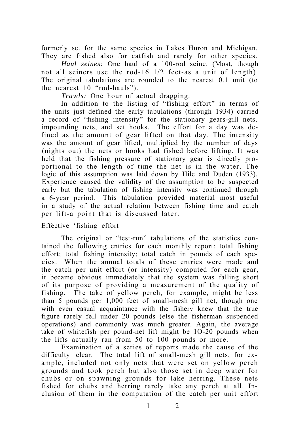formerly set for the same species in Lakes Huron and Michigan. They are fished also for catfish and rarely for other species.

*Haul seines:* One haul of a 100-rod seine. (Most, though not all seiners use the rod-16 1/2 feet-as a unit of length). The original tabulations are rounded to the nearest 0.1 unit (to the nearest 10 "rod-hauls").

*Trawls:* One hour of actual dragging.

In addition to the listing of "fishing effort" in terms of the units just defined the early tabulations (through 1934) carried a record of "fishing intensity" for the stationary gears-gill nets, impounding nets, and set hooks. The effort for a day was defined as the amount of gear lifted on that day. The intensity was the amount of gear lifted, multiplied by the number of days (nights out) the nets or hooks had fished before lifting. It was held that the fishing pressure of stationary gear is directly proportional to the length of time the net is in the water. The logic of this assumption was laid down by Hile and Duden (1933). Experience caused the validity of the assumption to be suspected early but the tabulation of fishing intensity was continued through a 6-year period. This tabulation provided material most useful in a study of the actual relation between fishing time and catch per lift-a point that is discussed later.

#### Effective 'fishing effort

The original or "test-run" tabulations of the statistics contained the following entries for each monthly report: total fishing effort; total fishing intensity; total catch in pounds of each species. When the annual totals of these entries were made and the catch per unit effort (or intensity) computed for each gear, it became obvious immediately that the system was falling short of its purpose of providing a measurement of the quality of fishing. The take of yellow perch, for example, might be less than 5 pounds per 1,000 feet of small-mesh gill net, though one with even casual acquaintance with the fishery knew that the true figure rarely fell under 20 pounds (else the fisherman suspended operations) and commonly was much greater. Again, the average take of whitefish per pound-net lift might be 1O-20 pounds when the lifts actually ran from 50 to 100 pounds or more.

Examination of a series of reports made the cause of the difficulty clear. The total lift of small-mesh gill nets, for example, included not only nets that were set on yellow perch grounds and took perch but also those set in deep water for chubs or on spawning grounds for lake herring. These nets fished for chubs and herring rarely take any perch at all. Inclusion of them in the computation of the catch per unit effort

1 2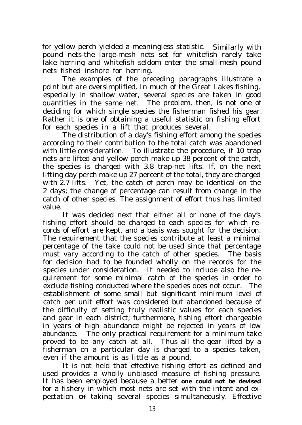for yellow perch yielded a meaningless statistic. Similarly with pound nets-the large-mesh nets set for whitefish rarely take lake herring and whitefish seldom enter the small-mesh pound nets fished inshore for herring.

The examples of the preceding paragraphs illustrate a point but are oversimplified. In much of the Great Lakes fishing, especially in shallow water, several species are taken in good quantities in the same net. The problem, then, is not one of deciding for which single species the fisherman fished his gear. Rather it is one of obtaining a useful statistic on fishing effort for each species in a lift that produces several.

The distribution of a day's fishing effort among the species according to their contribution to the total catch was abandoned with little consideration. To illustrate the procedure, if 10 trap nets are lifted and yellow perch make up 38 percent of the catch, the species is charged with 3.8 trap-net lifts. If, on the next lifting day perch make up 27 percent of the total, they are charged with 2.7 lifts. Yet, the catch of perch may be identical on the 2 days; the change of percentage can result from change in the catch of other species. The assignment of effort thus has limited value.

It was decided next that either all or none of the day's fishing effort should be charged to each species for which records of effort are kept. and a basis was sought for the decision. The requirement that the species contribute at least a minimal percentage of the take could not be used since that percentage must vary according to the catch of other species. The basis for decision had to be founded wholly on the records for the species under consideration. It needed to include also the requirement for some minimal catch of the species in order to exclude fishing conducted where the species does not occur. The establishment of some small but significant minimum level of catch per unit effort was considered but abandoned because of the difficulty of setting truly realistic values for each species and gear in each district; furthermore, fishing effort chargeable in years of high abundance might be rejected in years of low abundance. The only practical requirement for a minimum take proved to be any catch at all. Thus all the gear lifted by a fisherman on a particular day is charged to a species taken, even if the amount is as little as a pound.

It is not held that effective fishing effort as defined and used provides a wholly unbiased measure of fishing pressure. It has been employed because a better **one could not be devised** for a fishery in which most nets are set with the intent and expectation **Of** taking several species simultaneously. Effective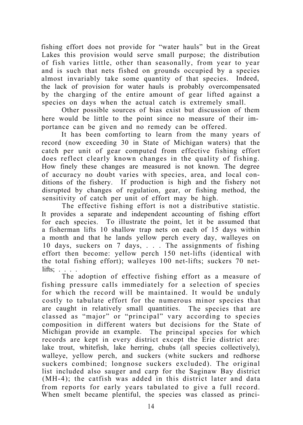fishing effort does not provide for "water hauls" but in the Great Lakes this provision would serve small purpose; the distribution of fish varies little, other than seasonally, from year to year and is such that nets fished on grounds occupied by a species almost invariably take some quantity of that species. Indeed, the lack of provision for water hauls is probably overcompensated by the charging of the entire amount of gear lifted against a species on days when the actual catch is extremely small.

Other possible sources of bias exist but discussion of them here would be little to the point since no measure of their importance can be given and no remedy can be offered.

It has been comforting to learn from the many years of record (now exceeding 30 in State of Michigan waters) that the catch per unit of gear computed from effective fishing effort does reflect clearly known changes in the quality of fishing. How finely these changes are measured is not known. The degree of accuracy no doubt varies with species, area, and local conditions of the fishery. If production is high and the fishery not disrupted by changes of regulation, gear, or fishing method, the sensitivity of catch per unit of effort may be high.

The effective fishing effort is not a distributive statistic. It provides a separate and independent accounting of fishing effort for each species. To illustrate the point, let it be assumed that a fisherman lifts 10 shallow trap nets on each of 15 days within a month and that he lands yellow perch every day, walleyes on 10 days, suckers on 7 days, . . . The assignments of fishing effort then become: yellow perch 150 net-lifts (identical with the total fishing effort); walleyes 100 net-lifts; suckers 70 netlifts; . . . .

The adoption of effective fishing effort as a measure of fishing pressure calls immediately for a selection of species for which the record will be maintained. It would be unduly costly to tabulate effort for the numerous minor species that are caught in relatively small quantities. The species that are classed as "major" or "principal" vary according to species composition in different waters but decisions for the State of Michigan provide an example. The principal species for which records are kept in every district except the Erie district are: lake trout, whitefish, lake herring, chubs (all species collectively), walleye, yellow perch, and suckers (white suckers and redhorse suckers combined; longnose suckers excluded). The original list included also sauger and carp for the Saginaw Bay district (MH-4); the catfish was added in this district later and data from reports for early years tabulated to give a full record. When smelt became plentiful, the species was classed as princi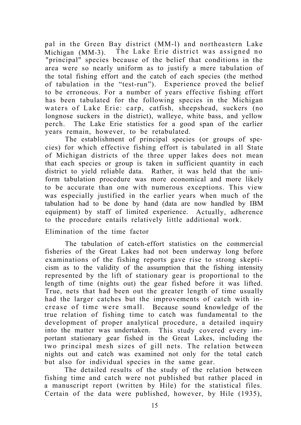pal in the Green Bay district (MM-l) and northeastern Lake Michigan (MM-3). The Lake Erie district was assigned no "principal" species because of the belief that conditions in the area were so nearly uniform as to justify a mere tabulation of the total fishing effort and the catch of each species (the method of tabulation in the "test-run"). Experience proved the belief to be erroneous. For a number of years effective fishing effort has been tabulated for the following species in the Michigan waters of Lake Erie: carp, catfish, sheepshead, suckers (no longnose suckers in the district), walleye, white bass, and yellow perch. The Lake Erie statistics for a good span of the earlier years remain, however, to be retabulated.

The establishment of principal species (or groups of species) for which effective fishing effort is tabulated in all State of Michigan districts of the three upper lakes does not mean that each species or group is taken in sufficient quantity in each district to yield reliable data. Rather, it was held that the uniform tabulation procedure was more economical and more likely to be accurate than one with numerous exceptions. This view was especially justified in the earlier years when much of the tabulation had to be done by hand (data are now handled by IBM equipment) by staff of limited experience. Actually, adherence to the procedure entails relatively little additional work.

Elimination of the time factor

The tabulation of catch-effort statistics on the commercial fisheries of the Great Lakes had not been underway long before examinations of the fishing reports gave rise to strong skepticism as to the validity of the assumption that the fishing intensity represented by the lift of stationary gear is proportional to the length of time (nights out) the gear fished before it was lifted. True, nets that had been out the greater length of time usually had the larger catches but the improvements of catch with increase of time were small. Because sound knowledge of the true relation of fishing time to catch was fundamental to the development of proper analytical procedure, a detailed inquiry into the matter was undertaken. This study covered every important stationary gear fished in the Great Lakes, including the two principal mesh sizes of gill nets. The relation between nights out and catch was examined not only for the total catch but also for individual species in the same gear.

The detailed results of the study of the relation between fishing time and catch were not published but rather placed in a manuscript report (written by Hile) for the statistical files. Certain of the data were published, however, by Hile (1935),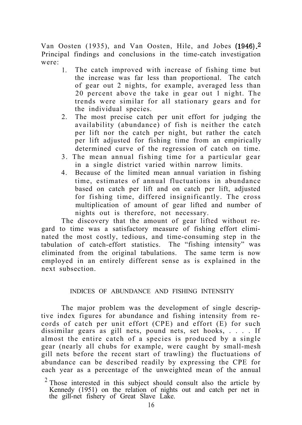Van Oosten (1935), and Van Oosten, Hile, and Jobes (1946).2 Principal findings and conclusions in the time-catch investigation were:

- 1. The catch improved with increase of fishing time but the increase was far less than proportional. The catch of gear out 2 nights, for example, averaged less than 20 percent above the take in gear out 1 night. The trends were similar for all stationary gears and for the individual species.
- 2. The most precise catch per unit effort for judging the availability (abundance) of fish is neither the catch per lift nor the catch per night, but rather the catch per lift adjusted for fishing time from an empirically determined curve of the regression of catch on time.
- 3. The mean annual fishing time for a particular gear in a single district varied within narrow limits.
- 4. Because of the limited mean annual variation in fishing time, estimates of annual fluctuations in abundance based on catch per lift and on catch per lift, adjusted for fishing time, differed insignificantly. The cross multiplication of amount of gear lifted and number of nights out is therefore, not necessary.

The discovery that the amount of gear lifted without regard to time was a satisfactory measure of fishing effort eliminated the most costly, tedious, and time-consuming step in the tabulation of catch-effort statistics. The "fishing intensity" was eliminated from the original tabulations. The same term is now employed in an entirely different sense as is explained in the next subsection.

#### INDICES OF ABUNDANCE AND FISHING INTENSITY

The major problem was the development of single descriptive index figures for abundance and fishing intensity from records of catch per unit effort (CPE) and effort (E) for such dissimilar gears as gill nets, pound nets, set hooks, . . . . If almost the entire catch of a species is produced by a single gear (nearly all chubs for example, were caught by small-mesh gill nets before the recent start of trawling) the fluctuations of abundance can be described readily by expressing the CPE for each year as a percentage of the unweighted mean of the annual

 $2$  Those interested in this subject should consult also the article by Kennedy (1951) on the relation of nights out and catch per net in the gill-net fishery of Great Slave Lake.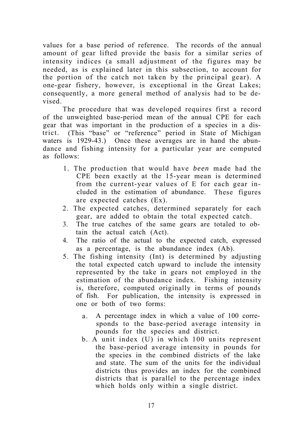values for a base period of reference. The records of the annual amount of gear lifted provide the basis for a similar series of intensity indices (a small adjustment of the figures may be needed, as is explained later in this subsection, to account for the portion of the catch not taken by the principal gear). A one-gear fishery, however, is exceptional in the Great Lakes; consequently, a more general method of analysis had to be devised.

The procedure that was developed requires first a record of the unweighted base-period mean of the annual CPE for each gear that was important in the production of a species in a district. (This "base" or "reference" period in State of Michigan waters is 1929-43.) Once these averages are in hand the abundance and fishing intensity for a particular year are computed as follows:

- 1. The production that would have *been* made had the CPE been exactly at the 15-year mean is determined from the current-year values of E for each gear included in the estimation of abundance. These figures are expected catches (Ex).
- 2. The expected catches, determined separately for each gear, are added to obtain the total expected catch.
- 3. The true catches of the same gears are totaled to obtain the actual catch (Act).
- 4. The ratio of the actual to the expected catch, expressed as a percentage, is the abundance index (Ab).
- 5. The fishing intensity (Int) is determined by adjusting the total expected catch upward to include the intensity represented by the take in gears not employed in the estimation of the abundance index. Fishing intensity is, therefore, computed originally in terms of pounds of fish. For publication, the intensity is expressed in one or both of two forms:
	- a. A percentage index in which a value of 100 corresponds to the base-period average intensity in pounds for the species and district.
	- b. A unit index (U) in which 100 units represent the base-period average intensity in pounds for the species in the combined districts of the lake and state. The sum of the units for the individual districts thus provides an index for the combined districts that is parallel to the percentage index which holds only within a single district.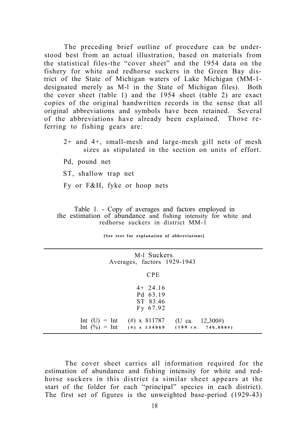The preceding brief outline of procedure can be understood best from an actual illustration, based on materials from the statistical files-the "cover sheet" and the 1954 data on the fishery for white and redhorse suckers in the Green Bay district of the State of Michigan waters of Lake Michigan (MM-1 designated merely as M-l in the State of Michigan files). Both the cover sheet (table 1) and the 1954 sheet (table 2) are exact copies of the original handwritten records in the sense that all original abbreviations and symbols have been retained. Several of the abbreviations have already been explained. Those referring to fishing gears are:

- 2+ and 4+, small-mesh and large-mesh gill nets of mesh sizes as stipulated in the section on units of effort.
- Pd, pound net
- ST, shallow trap net
- Fy or F&H, fyke or hoop nets

Table 1. - Copy of averages and factors employed in the estimation of abundance and fishing intensity for white and redhorse suckers in district MM-1

**[See text for explanation of abbreviations]**

| M-1 Suckers<br>Averages, factors 1929-1943                           |                                                              |
|----------------------------------------------------------------------|--------------------------------------------------------------|
| <b>CPE</b>                                                           |                                                              |
| $4+24.16$<br>Pd 63.19<br>ST 83.46<br>Fy 67.92                        |                                                              |
| Int (U) = Int (#) x 811787<br>Int $(\frac{0}{0})$ = Int (#) x 134069 | (U ca. $12,300\#$ )<br>$(100 \text{ ca. } 746, 000\text{#})$ |

The cover sheet carries all information required for the estimation of abundance and fishing intensity for white and redhorse suckers in this district (a similar sheet appears at the start of the folder for each "principal" species in each district). The first set of figures is the unweighted base-period (1929-43)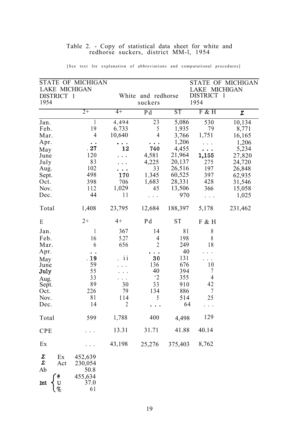| DISTRICT 1<br>1954                                                                           |                                                               |                                                               |                                                                             |                                                                               | LAKE MICHIGAN                                                                      |                                               |
|----------------------------------------------------------------------------------------------|---------------------------------------------------------------|---------------------------------------------------------------|-----------------------------------------------------------------------------|-------------------------------------------------------------------------------|------------------------------------------------------------------------------------|-----------------------------------------------|
|                                                                                              |                                                               |                                                               | White and redhorse<br>suckers                                               |                                                                               | DISTRICT 1<br>1954                                                                 |                                               |
|                                                                                              | $2+$                                                          | $4+$                                                          | Pd                                                                          | <b>ST</b>                                                                     | F & H                                                                              | Σ                                             |
| Jan.<br>Feb.<br>Mar.<br>Apr.                                                                 | 1<br>19<br>4<br>$\ddot{\phantom{1}}$                          | 4,494<br>6.733<br>10,640<br>$\cdots$                          | $\overline{23}$<br>5<br>4<br>$\bullet$ . $\bullet$                          | 5,086<br>1,935<br>3,766<br>1,206                                              | 530<br>79<br>1,751                                                                 | 10,134<br>8,771<br>16,165<br>1,206            |
| May<br>June<br>July<br>Aug.<br>Sept.                                                         | .27<br>120<br>83<br>102<br>498                                | 12<br>$\ddotsc$<br>170                                        | 740<br>4,581<br>4,225<br>33<br>1.345                                        | 4,455<br>21,964<br>20,137<br>26,516<br>60,525                                 | 1,155<br>275<br>197<br>397                                                         | 5,234<br>27,820<br>24,720<br>26,848<br>62,935 |
| Oct.<br>Nov.<br>Dec.                                                                         | 398<br>112<br>44                                              | 706<br>1,029<br>11<br>23,795                                  | 1,683<br>45<br>$\ddots$                                                     | 28,331<br>13,506<br>970<br>188,397                                            | 428<br>366<br>.<br>5,178                                                           | 31,546<br>15,058<br>1,025<br>231,462          |
| Total<br>E                                                                                   | 1,408<br>$2+$                                                 | $4+$                                                          | 12,684<br>Pd                                                                | <b>ST</b>                                                                     | F & H                                                                              |                                               |
| Jan.<br>Feb.<br>Mar.<br>Apr.<br>Mav<br>June<br>July<br>Aug.<br>Sept.<br>Oct.<br>Nov.<br>Dec. | 1<br>16<br>6<br>19<br>59<br>55<br>33<br>89<br>226<br>81<br>14 | 367<br>5.27<br>656<br>ii<br>30<br>79<br>114<br>$\overline{2}$ | 14<br>4<br>$\overline{2}$<br>30<br>136<br>40<br>$\cdot$ 2<br>33<br>134<br>5 | 81<br>198<br>249<br>40<br>131<br>676<br>394<br>355<br>910<br>886<br>514<br>64 | 8<br>8<br>18<br>$\ddot{\phantom{0}}$<br>$\ddotsc$<br>10<br>7<br>4<br>42<br>7<br>25 |                                               |
| Total                                                                                        | 599                                                           | 1,788                                                         | 400                                                                         | 4,498                                                                         | 129                                                                                |                                               |
| <b>CPE</b>                                                                                   |                                                               | 13.31                                                         | 31.71                                                                       | 41.88                                                                         | 40.14                                                                              |                                               |
| Ex<br>Σ<br>Ex<br>Σ<br>Act<br>Ab<br>$\#$<br>U<br>Int                                          | 452,639<br>230,054<br>50.8<br>455,634<br>37.0                 | 43,198                                                        | 25,276                                                                      | 375,403                                                                       | 8,762                                                                              |                                               |

#### Table 2. - Copy of statistical data sheet for white and redhorse suckers, district MM-l, 1954

[See text for explanation of abbreviations and computational procedures]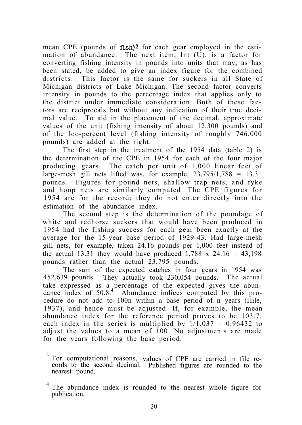mean CPE (pounds of fish)<sup>3</sup> for each gear employed in the estimation of abundance. The next item, Int (U), is a factor for converting fishing intensity in pounds into units that may, as has been stated, be added to give an index figure for the combined districts. This factor is the same for suckers in all State of Michigan districts of Lake Michigan. The second factor converts intensity in pounds to the percentage index that applies only to the district under immediate consideration. Both of these factors are reciprocals but without any indication of their true decimal value. To aid in the placement of the decimal, approximate values of the unit (fishing intensity of about 12,300 pounds) and of the loo-percent level (fishing intensity of roughly 746,000 pounds) are added at the right.

The first step in the treatment of the 1954 data (table 2) is the determination of the CPE in 1954 for each of the four major producing gears. The catch per unit of 1,000 linear feet of large-mesh gill nets lifted was, for example,  $23,795/1,788 = 13.31$ pounds. Figures for pound nets, shallow trap nets, and fyke and hoop nets are similarly computed. The CPE figures for 1954 are for the record; they do not enter directly into the estimation of the abundance index.

The second step is the determination of the poundage of white and redhorse suckers that would have been produced in 1954 had the fishing success for each gear been exactly at the average for the 15-year base period of 1929-43. Had large-mesh gill nets, for example, taken 24.16 pounds per 1,000 feet instead of the actual 13.31 they would have produced  $1,788 \times 24.16 = 43,198$ pounds rather than the actual 23,795 pounds.

The sum of the expected catches in four gears in 1954 was 452,639 pounds. They actually took 230,054 pounds. The actual take expressed as a percentage of the expected gives the abundance index of  $50.8$ .<sup>4</sup> Abundance indices computed by this procedure do not add to 100n within a base period of n years (Hile, 1937), and hence must be adjusted. If, for example, the mean abundance index for the reference period proves to be 103.7, each index in the series is multiplied by  $1/1.037 = 0.96432$  to adjust the values to a mean of 100. No adjustments are made for the years following the base period.

<sup>&</sup>lt;sup>3</sup> For computational reasons, values of CPE are carried in file records to the second decimal. Published figures are rounded to the nearest pound.

The abundance index is rounded to the nearest whole figure for publication.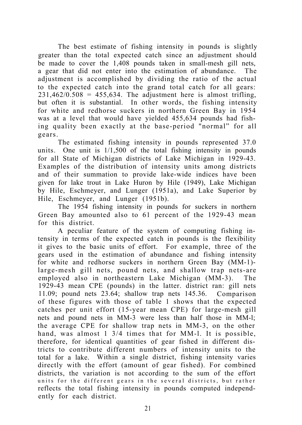The best estimate of fishing intensity in pounds is slightly greater than the total expected catch since an adjustment should be made to cover the 1,408 pounds taken in small-mesh gill nets, a gear that did not enter into the estimation of abundance. The adjustment is accomplished by dividing the ratio of the actual to the expected catch into the grand total catch for all gears:  $231,462/0.508 = 455,634$ . The adjustment here is almost trifling, but often it is substantial. In other words, the fishing intensity for white and redhorse suckers in northern Green Bay in 1954 was at a level that would have yielded 455,634 pounds had fishing quality been exactly at the base-period "normal" for all gears.

The estimated fishing intensity in pounds represented 37.0 units. One unit is 1/1,500 of the total fishing intensity in pounds for all State of Michigan districts of Lake Michigan in 1929-43. Examples of the distribution of intensity units among districts and of their summation to provide lake-wide indices have been given for lake trout in Lake Huron by Hile (1949), Lake Michigan by Hile, Eschmeyer, and Lunger (1951a), and Lake Superior by Hile, Eschmeyer, and Lunger (1951b).

The 1954 fishing intensity in pounds for suckers in northern Green Bay amounted also to 61 percent of the 1929-43 mean for this district.

A peculiar feature of the system of computing fishing intensity in terms of the expected catch in pounds is the flexibility it gives to the basic units of effort. For example, three of the gears used in the estimation of abundance and fishing intensity for white and redhorse suckers in northern Green Bay (MM-1) large-mesh gill nets, pound nets, and shallow trap nets-are employed also in northeastern Lake Michigan (MM-3). The 1929-43 mean CPE (pounds) in the latter. district ran: gill nets 11.09; pound nets 23.64; shallow trap nets 145.36. Comparison of these figures with those of table 1 shows that the expected catches per unit effort (15-year mean CPE) for large-mesh gill nets and pound nets in MM-3 were less than half those in MM-l; the average CPE for shallow trap nets in MM-3, on the other hand, was almost 1 3/4 times that for MM-1. It is possible, therefore, for identical quantities of gear fished in different districts to contribute different numbers of intensity units to the total for a lake. Within a single district, fishing intensity varies directly with the effort (amount of gear fished). For combined districts, the variation is not according to the sum of the effort units for the different gears in the several districts, but rather reflects the total fishing intensity in pounds computed independently for each district.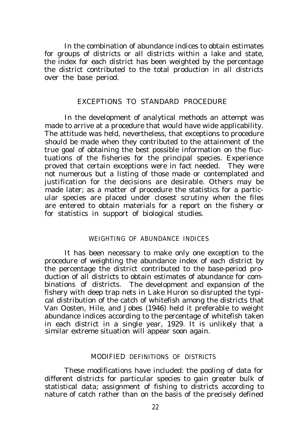In the combination of abundance indices to obtain estimates for groups of districts or all districts within a lake and state, the index for each district has been weighted by the percentage the district contributed to the total production in all districts over the base period.

#### EXCEPTIONS TO STANDARD PROCEDURE

In the development of analytical methods an attempt was made to arrive at a procedure that would have wide applicability. The attitude was held, nevertheless, that exceptions to procedure should be made when they contributed to the attainment of the true goal of obtaining the best possible information on the fluctuations of the fisheries for the principal species. Experience proved that certain exceptions were in fact needed. They were not numerous but a listing of those made or contemplated and justification for the decisions are desirable. Others may be made later; as a matter of procedure the statistics for a particular species are placed under closest scrutiny when the files are entered to obtain materials for a report on the fishery or for statistics in support of biological studies.

#### WEIGHTING OF ABUNDANCE INDICES

It has been necessary to make only one exception to the procedure of weighting the abundance index of each district by the percentage the district contributed to the base-period production of all districts to obtain estimates of abundance for combinations of districts. The development and expansion of the fishery with deep trap nets in Lake Huron so disrupted the typical distribution of the catch of whitefish among the districts that Van Oosten, Hile, and Jobes (1946) held it preferable to weight abundance indices according to the percentage of whitefish taken in each district in a single year, 1929. It is unlikely that a similar extreme situation will appear soon again.

#### MODIFIED DEFINITIONS OF DISTRICTS

These modifications have included: the pooling of data for different districts for particular species to gain greater bulk of statistical data; assignment of fishing to districts according to nature of catch rather than on the basis of the precisely defined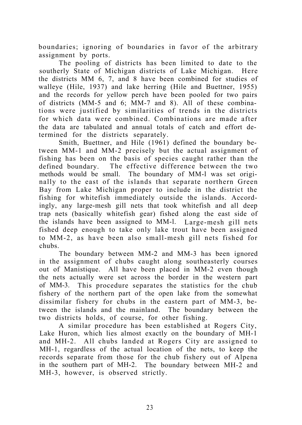boundaries; ignoring of boundaries in favor of the arbitrary assignment by ports.

The pooling of districts has been limited to date to the southerly State of Michigan districts of Lake Michigan. Here the districts MM 6, 7, and 8 have been combined for studies of walleye (Hile, 1937) and lake herring (Hile and Buettner, 1955) and the records for yellow perch have been pooled for two pairs of districts (MM-5 and 6; MM-7 and 8). All of these combinations were justified by similarities of trends in the districts for which data were combined. Combinations are made after the data are tabulated and annual totals of catch and effort determined for the districts separately.

Smith, Buettner, and Hile (1961) defined the boundary between MM-1 and MM-2 precisely but the actual assignment of fishing has been on the basis of species caught rather than the defined boundary. The effective difference between the two methods would be small. The boundary of MM-l was set originally to the east of the islands that separate northern Green Bay from Lake Michigan proper to include in the district the fishing for whitefish immediately outside the islands. Accordingly, any large-mesh gill nets that took whitefish and all deep trap nets (basically whitefish gear) fished along the east side of the islands have been assigned to MM-l. Large-mesh gill nets fished deep enough to take only lake trout have been assigned to MM-2, as have been also small-mesh gill nets fished for chubs.

The boundary between MM-2 and MM-3 has been ignored in the assignment of chubs caught along southeasterly courses out of Manistique. All have been placed in MM-2 even though the nets actually were set across the border in the western part of MM-3. This procedure separates the statistics for the chub fishery of the northern part of the open lake from the somewhat dissimilar fishery for chubs in the eastern part of MM-3, between the islands and the mainland. The boundary between the two districts holds, of course, for other fishing.

A similar procedure has been established at Rogers City, Lake Huron, which lies almost exactly on the boundary of MH-1 and MH-2. All chubs landed at Rogers City are assigned to MH-1, regardless of the actual location of the nets, to keep the records separate from those for the chub fishery out of Alpena in the southern part of MH-2. The boundary between MH-2 and MH-3, however, is observed strictly.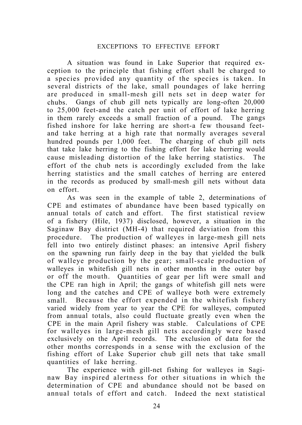#### EXCEPTIONS TO EFFECTIVE EFFORT

A situation was found in Lake Superior that required exception to the principle that fishing effort shall be charged to a species provided any quantity of the species is taken. In several districts of the lake, small poundages of lake herring are produced in small-mesh gill nets set in deep water for chubs. Gangs of chub gill nets typically are long-often 20,000 to 25,000 feet-and the catch per unit of effort of lake herring in them rarely exceeds a small fraction of a pound. The gangs fished inshore for lake herring are short-a few thousand feetand take herring at a high rate that normally averages several hundred pounds per 1,000 feet. The charging of chub gill nets that take lake herring to the fishing effort for lake herring would cause misleading distortion of the lake herring statistics. The effort of the chub nets is accordingly excluded from the lake herring statistics and the small catches of herring are entered in the records as produced by small-mesh gill nets without data on effort.

As was seen in the example of table 2, determinations of CPE and estimates of abundance have been based typically on annual totals of catch and effort. The first statistical review of a fishery (Hile, 1937) disclosed, however, a situation in the Saginaw Bay district (MH-4) that required deviation from this procedure. The production of walleyes in large-mesh gill nets fell into two entirely distinct phases: an intensive April fishery on the spawning run fairly deep in the bay that yielded the bulk of walleye production by the gear; small-scale production of walleyes in whitefish gill nets in other months in the outer bay or off the mouth. Quantities of gear per lift were small and the CPE ran high in April; the gangs of whitefish gill nets were long and the catches and CPE of walleye both were extremely small. Because the effort expended in the whitefish fishery varied widely from year to year the CPE for walleyes, computed from annual totals, also could fluctuate greatly even when the CPE in the main April fishery was stable. Calculations of CPE for walleyes in large-mesh gill nets accordingly were based exclusively on the April records. The exclusion of data for the other months corresponds in a sense with the exclusion of the fishing effort of Lake Superior chub gill nets that take small quantities of lake herring.

The experience with gill-net fishing for walleyes in Saginaw Bay inspired alertness for other situations in which the determination of CPE and abundance should not be based on annual totals of effort and catch. Indeed the next statistical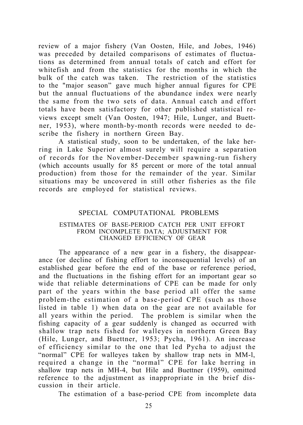review of a major fishery (Van Oosten, Hile, and Jobes, 1946) was preceded by detailed comparisons of estimates of fluctuations as determined from annual totals of catch and effort for whitefish and from the statistics for the months in which the bulk of the catch was taken. The restriction of the statistics to the "major season" gave much higher annual figures for CPE but the annual fluctuations of the abundance index were nearly the same from the two sets of data. Annual catch and effort totals have been satisfactory for other published statistical reviews except smelt (Van Oosten, 1947; Hile, Lunger, and Buettner, 1953), where month-by-month records were needed to describe the fishery in northern Green Bay.

A statistical study, soon to be undertaken, of the lake herring in Lake Superior almost surely will require a separation of records for the November-December spawning-run fishery (which accounts usually for 85 percent or more of the total annual production) from those for the remainder of the year. Similar situations may be uncovered in still other fisheries as the file records are employed for statistical reviews.

#### SPECIAL COMPUTATIONAL PROBLEMS

#### ESTIMATES OF BASE-PERIOD CATCH PER UNIT EFFORT FROM INCOMPLETE DATA; ADJUSTMENT FOR CHANGED EFFICIENCY OF GEAR

The appearance of a new gear in a fishery, the disappearance (or decline of fishing effort to inconsequential levels) of an established gear before the end of the base or reference period, and the fluctuations in the fishing effort for an important gear so wide that reliable determinations of CPE can be made for only part of the years within the base period all offer the same problem-the estimation of a base-period CPE (such as those listed in table 1) when data on the gear are not available for all years within the period. The problem is similar when the fishing capacity of a gear suddenly is changed as occurred with shallow trap nets fished for walleyes in northern Green Bay (Hile, Lunger, and Buettner, 1953; Pycha, 1961). An increase of efficiency similar to the one that led Pycha to adjust the "normal" CPE for walleyes taken by shallow trap nets in MM-l, required a change in the "normal" CPE for lake herring in shallow trap nets in MH-4, but Hile and Buettner (1959), omitted reference to the adjustment as inappropriate in the brief discussion in their article.

The estimation of a base-period CPE from incomplete data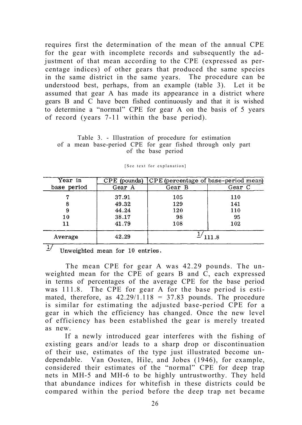requires first the determination of the mean of the annual CPE for the gear with incomplete records and subsequently the adjustment of that mean according to the CPE (expressed as percentage indices) of other gears that produced the same species in the same district in the same years. The procedure can be understood best, perhaps, from an example (table 3). Let it be assumed that gear A has made its appearance in a district where gears B and C have been fished continuously and that it is wished to determine a "normal" CPE for gear A on the basis of 5 years of record (years 7-11 within the base period).

Table 3. - Illustration of procedure for estimation of a mean base-period CPE for gear fished through only part of the base period

| Year in     | $CPE$ (pounds) | CPE (percentage of base-period mean) |        |
|-------------|----------------|--------------------------------------|--------|
| base period | Gear A         | Gear B                               | Gear C |
|             | 37.91          | 105                                  | 110    |
|             | 49.32          | 129                                  | 141    |
| 9           | 44.24          | 120                                  | 110    |
| 10          | 38.17          | 98                                   | 95     |
| 11          | 41.79          | 108                                  | 102    |
| Average     | 42.29          |                                      | 111.8  |

[See text for explanation]

 $\frac{1}{2}$  Unweighted mean for 10 entries.

The mean CPE for gear A was 42.29 pounds. The unweighted mean for the CPE of gears B and  $\dot{C}$ , each expressed in terms of percentages of the average CPE for the base period was 111.8. The CPE for gear A for the base period is estimated, therefore, as  $42.29/1.118 = 37.83$  pounds. The procedure is similar for estimating the adjusted base-period CPE for a gear in which the efficiency has changed. Once the new level of efficiency has been established the gear is merely treated as new.

If a newly introduced gear interferes with the fishing of existing gears and/or leads to a sharp drop or discontinuation of their use, estimates of the type just illustrated become undependable. Van Oosten, Hile, and Jobes (1946), for example, considered their estimates of the "normal" CPE for deep trap nets in MH-5 and MH-6 to be highly untrustworthy. They held that abundance indices for whitefish in these districts could be compared within the period before the deep trap net became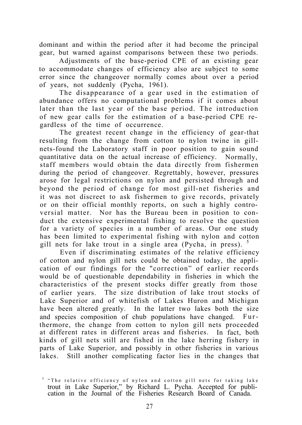dominant and within the period after it had become the principal gear, but warned against comparisons between these two periods.

Adjustments of the base-period CPE of an existing gear to accommodate changes of efficiency also are subject to some error since the changeover normally comes about over a period of years, not suddenly (Pycha, 1961).

The disappearance of a gear used in the estimation of abundance offers no computational problems if it comes about later than the last year of the base period. The introduction of new gear calls for the estimation of a base-period CPE regardless of the time of occurrence.

The greatest recent change in the efficiency of gear-that resulting from the change from cotton to nylon twine in gillnets-found the Laboratory staff in poor position to gain sound quantitative data on the actual increase of efficiency. Normally, staff members would obtain the data directly from fishermen during the period of changeover. Regrettably, however, pressures arose for legal restrictions on nylon and persisted through and beyond the period of change for most gill-net fisheries and it was not discreet to ask fishermen to give records, privately or on their official monthly reports, on such a highly controversial matter. Nor has the Bureau been in position to conduct the extensive experimental fishing to resolve the question for a variety of species in a number of areas. Our one study has been limited to experimental fishing with nylon and cotton gill nets for lake trout in a single area (Pycha, in press). <sup>5</sup>

Even if discriminating estimates of the relative efficiency of cotton and nylon gill nets could be obtained today, the application of our findings for the "correction" of earlier records would be of questionable dependability in fisheries in which the characteristics of the present stocks differ greatly from those of earlier years. The size distribution of lake trout stocks of Lake Superior and of whitefish of Lakes Huron and Michigan have been altered greatly. In the latter two lakes both the size and species composition of chub populations have changed. Furthermore, the change from cotton to nylon gill nets proceeded at different rates in different areas and fisheries. In fact, both kinds of gill nets still are fished in the lake herring fishery in parts of Lake Superior, and possibly in other fisheries in various lakes. Still another complicating factor lies in the changes that

<sup>5</sup> "The relative efficiency of nylon and cotton gill nets for taking lake trout in Lake Superior," by Richard L. Pycha. Accepted for publication in the Journal of the Fisheries Research Board of Canada.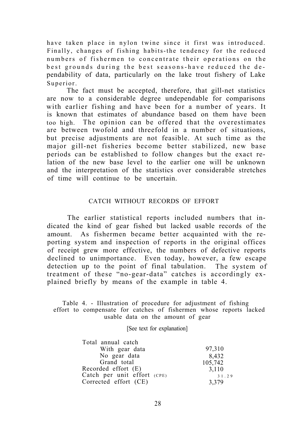have taken place in nylon twine since it first was introduced. Finally, changes of fishing habits-the tendency for the reduced numbers of fishermen to concentrate their operations on the best grounds during the best seasons-have reduced the dependability of data, particularly on the lake trout fishery of Lake Superior.

The fact must be accepted, therefore, that gill-net statistics are now to a considerable degree undependable for comparisons with earlier fishing and have been for a number of years. It is known that estimates of abundance based on them have been too high. The opinion can be offered that the overestimates are between twofold and threefold in a number of situations, but precise adjustments are not feasible. At such time as the major gill-net fisheries become better stabilized, new base periods can be established to follow changes but the exact relation of the new base level to the earlier one will be unknown and the interpretation of the statistics over considerable stretches of time will continue to be uncertain.

#### CATCH WITHOUT RECORDS OF EFFORT

The earlier statistical reports included numbers that indicated the kind of gear fished but lacked usable records of the amount. As fishermen became better acquainted with the reporting system and inspection of reports in the original offices of receipt grew more effective, the numbers of defective reports declined to unimportance. Even today, however, a few escape detection up to the point of final tabulation. The system of treatment of these "no-gear-data" catches is accordingly explained briefly by means of the example in table 4.

Table 4. - Illustration of procedure for adjustment of fishing effort to compensate for catches of fishermen whose reports lacked usable data on the amount of gear

[See text for explanation]

| Total annual catch            |         |
|-------------------------------|---------|
| With gear data                | 97,310  |
| No gear data                  | 8,432   |
| Grand total                   | 105,742 |
| Recorded effort $(E)$         | 3.110   |
| Catch per unit effort $(CPE)$ | 31.29   |
| Corrected effort (CE)         | 3,379   |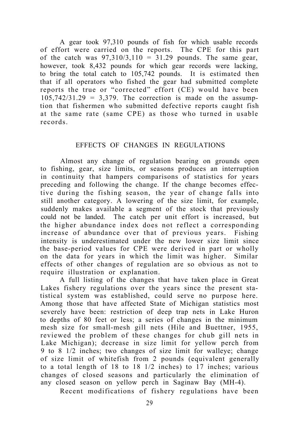A gear took 97,310 pounds of fish for which usable records of effort were carried on the reports. The CPE for this part of the catch was  $97,310/3,110 = 31.29$  pounds. The same gear, however, took 8,432 pounds for which gear records were lacking, to bring the total catch to 105,742 pounds. It is estimated then that if all operators who fished the gear had submitted complete reports the true or "corrected" effort (CE) would have been  $105,742/31.29 = 3.379$ . The correction is made on the assumption that fishermen who submitted defective reports caught fish at the same rate (same CPE) as those who turned in usable records.

#### EFFECTS OF CHANGES IN REGULATIONS

Almost any change of regulation bearing on grounds open to fishing, gear, size limits, or seasons produces an interruption in continuity that hampers comparisons of statistics for years preceding and following the change. If the change becomes effective during the fishing season, the year of change falls into still another category. A lowering of the size limit, for example, suddenly makes available a segment of the stock that previously could not be landed. The catch per unit effort is increased, but the higher abundance index does not reflect a corresponding increase of abundance over that of previous years. Fishing intensity is underestimated under the new lower size limit since the base-period values for CPE were derived in part or wholly on the data for years in which the limit was higher. Similar effects of other changes of regulation are so obvious as not to require illustration or explanation.

A full listing of the changes that have taken place in Great Lakes fishery regulations over the years since the present statistical system was established, could serve no purpose here. Among those that have affected State of Michigan statistics most severely have been: restriction of deep trap nets in Lake Huron to depths of 80 feet or less; a series of changes in the minimum mesh size for small-mesh gill nets (Hile and Buettner, 1955, reviewed the problem of these changes for chub gill nets in Lake Michigan); decrease in size limit for yellow perch from 9 to 8 1/2 inches; two changes of size limit for walleye; change of size limit of whitefish from 2 pounds (equivalent generally to a total length of 18 to 18 1/2 inches) to 17 inches; various changes of closed seasons and particularly the elimination of any closed season on yellow perch in Saginaw Bay (MH-4).

Recent modifications of fishery regulations have been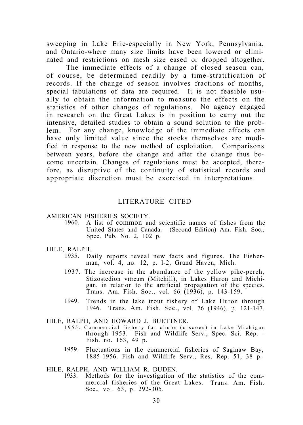sweeping in Lake Erie-especially in New York, Pennsylvania, and Ontario-where many size limits have been lowered or eliminated and restrictions on mesh size eased or dropped altogether.

The immediate effects of a change of closed season can, of course, be determined readily by a time-stratification of records. If the change of season involves fractions of months, special tabulations of data are required. It is not feasible usually to obtain the information to measure the effects on the statistics of other changes of regulations. No agency engaged in research on the Great Lakes is in position to carry out the intensive, detailed studies to obtain a sound solution to the problem. For any change, knowledge of the immediate effects can have only limited value since the stocks themselves are modified in response to the new method of exploitation. Comparisons between years, before the change and after the change thus become uncertain. Changes of regulations must be accepted, therefore, as disruptive of the continuity of statistical records and appropriate discretion must be exercised in interpretations.

#### LITERATURE CITED

#### AMERICAN FISHERIES SOCIETY.

1960. A list of common and scientific names of fishes from the United States and Canada. (Second Edition) Am. Fish. Soc., Spec. Pub. No. 2, 102 p.

#### HILE, RALPH.

- 1935. Daily reports reveal new facts and figures. The Fisherman, vol. 4, no. 12, p. l-2, Grand Haven, Mich.
- 1937. The increase in the abundance of the yellow pike-perch, Stizostedion vitreum (Mitchill), in Lakes Huron and Michigan, in relation to the artificial propagation of the species. Trans. Am. Fish. Soc., vol. 66 (1936), p. 143-159.
- 1949. Trends in the lake trout fishery of Lake Huron through 1946. Trans. Am. Fish. Soc., vol. 76 (1946), p. 121-147.
- HILE, RALPH, AND HOWARD J. BUETTNER.
	- 1955. Commercial fishery for chubs (ciscoes) in Lake Michigan through 1953. Fish and Wildlife Serv., Spec. Sci. Rep. - Fish. no. 163, 49 p.
	- 1959. Fluctuations in the commercial fisheries of Saginaw Bay, 1885-1956. Fish and Wildlife Serv., Res. Rep. 51, 38 p.
- HILE, RALPH, AND WILLIAM R. DUDEN.
	- 1933. Methods for the investigation of the statistics of the commercial fisheries of the Great Lakes. Trans. Am. Fish. Soc., vol. 63, p. 292-305.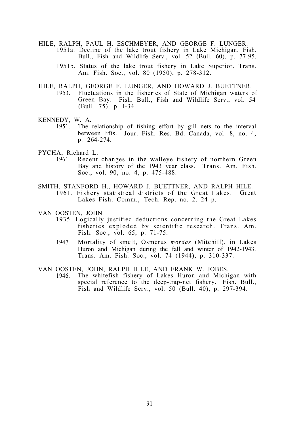- HILE, RALPH, PAUL H. ESCHMEYER, AND GEORGE F. LUNGER. 1951a. Decline of the lake trout fishery in Lake Michigan. Fish. Bull., Fish and Wildlife Serv., vol. 52 (Bull. 60), p. 77-95.
	- 1951b. Status of the lake trout fishery in Lake Superior. Trans. Am. Fish. Soc., vol. 80 (1950), p. 278-312.
- HILE, RALPH, GEORGE F. LUNGER, AND HOWARD J. BUETTNER.<br>1953. Fluctuations in the fisheries of State of Michigan waters of Fluctuations in the fisheries of State of Michigan waters of Green Bay. Fish. Bull., Fish and Wildlife Serv., vol. 54 (Bull. 75), p. l-34.
- KENNEDY, W. A.
	- 1951. The relationship of fishing effort by gill nets to the interval between lifts. Jour. Fish. Res. Bd. Canada, vol. 8, no. 4, p. 264-274.
- PYCHA, Richard L.
	- 1961. Recent changes in the walleye fishery of northern Green Bay and history of the 1943 year class. Trans. Am. Fish. Soc., vol. 90, no. 4, p. 475-488.
- SMITH, STANFORD H., HOWARD J. BUETTNER, AND RALPH HILE. 1961. Fishery statistical districts of the Great Lakes. Great Lakes Fish. Comm., Tech. Rep. no. 2, 24 p.
- VAN OOSTEN, JOHN.
	- 1935. Logically justified deductions concerning the Great Lakes fisheries exploded by scientific research. Trans. Am. Fish. Soc., vol. 65, p. 71-75.
		- 1947. Mortality of smelt, Osmerus *mordax* (Mitchill), in Lakes Huron and Michigan during the fall and winter of 1942-1943. Trans. Am. Fish. Soc., vol. 74 (1944), p. 310-337.

VAN OOSTEN, JOHN, RALPH HILE, AND FRANK W. JOBES.

1946. The whitefish fishery of Lakes Huron and Michigan with special reference to the deep-trap-net fishery. Fish. Bull., Fish and Wildlife Serv., vol.  $50$  (Bull. 40), p. 297-394.